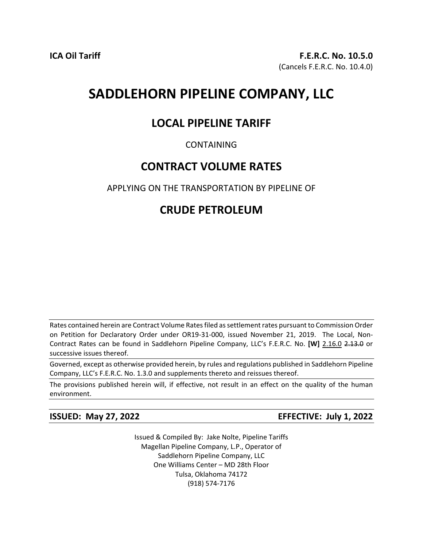# **SADDLEHORN PIPELINE COMPANY, LLC**

### **LOCAL PIPELINE TARIFF**

#### CONTAINING

### **CONTRACT VOLUME RATES**

### APPLYING ON THE TRANSPORTATION BY PIPELINE OF

## **CRUDE PETROLEUM**

Rates contained herein are Contract Volume Rates filed as settlement rates pursuant to Commission Order on Petition for Declaratory Order under OR19-31-000, issued November 21, 2019. The Local, Non-Contract Rates can be found in Saddlehorn Pipeline Company, LLC's F.E.R.C. No. **[W]** 2.16.0 2.13.0 or successive issues thereof.

Governed, except as otherwise provided herein, by rules and regulations published in Saddlehorn Pipeline Company, LLC's F.E.R.C. No. 1.3.0 and supplements thereto and reissues thereof.

The provisions published herein will, if effective, not result in an effect on the quality of the human environment.

**ISSUED: May 27, 2022 EFFECTIVE: July 1, 2022**

Issued & Compiled By: Jake Nolte, Pipeline Tariffs Magellan Pipeline Company, L.P., Operator of Saddlehorn Pipeline Company, LLC One Williams Center – MD 28th Floor Tulsa, Oklahoma 74172 (918) 574-7176